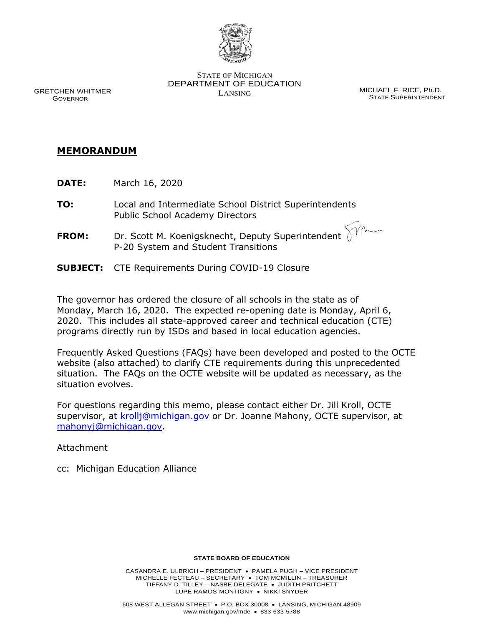

STATE OF MICHIGAN DEPARTMENT OF EDUCATION LANSING MICHAEL F. RICE, Ph.D.

STATE SUPERINTENDENT

 GRETCHEN WHITMER GOVERNOR

## **MEMORANDUM**

- **DATE:** March 16, 2020
- **TO:** Local and Intermediate School District Superintendents Public School Academy Directors
- **FROM:** Dr. Scott M. Koenigsknecht, Deputy Superintendent P-20 System and Student Transitions
- **SUBJECT:** CTE Requirements During COVID-19 Closure

The governor has ordered the closure of all schools in the state as of Monday, March 16, 2020. The expected re-opening date is Monday, April 6, 2020. This includes all state-approved career and technical education (CTE) programs directly run by ISDs and based in local education agencies.

Frequently Asked Questions (FAQs) have been developed and posted to the OCTE website (also attached) to clarify CTE requirements during this unprecedented situation. The FAQs on the OCTE website will be updated as necessary, as the situation evolves.

For questions regarding this memo, please contact either Dr. Jill Kroll, OCTE supervisor, at [krollj@michigan.gov](mailto:krollj@michigan.gov) or Dr. Joanne Mahony, OCTE supervisor, at [mahonyj@michigan.gov.](mailto:mahonyj@michigan.gov)

Attachment

cc: Michigan Education Alliance

## **STATE BOARD OF EDUCATION**

CASANDRA E. ULBRICH – PRESIDENT • PAMELA PUGH – VICE PRESIDENT MICHELLE FECTEAU – SECRETARY • TOM MCMILLIN – TREASURER TIFFANY D. TILLEY – NASBE DELEGATE • JUDITH PRITCHETT LUPE RAMOS-MONTIGNY • NIKKI SNYDER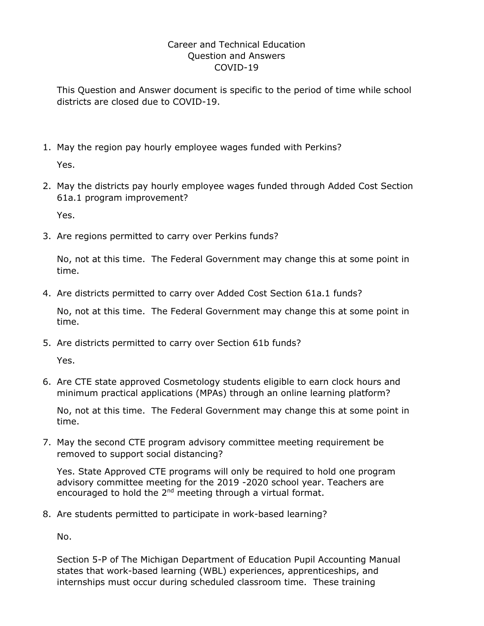## Career and Technical Education Question and Answers COVID-19

This Question and Answer document is specific to the period of time while school districts are closed due to COVID-19.

1. May the region pay hourly employee wages funded with Perkins?

Yes.

2. May the districts pay hourly employee wages funded through Added Cost Section 61a.1 program improvement?

Yes.

3. Are regions permitted to carry over Perkins funds?

No, not at this time. The Federal Government may change this at some point in time.

4. Are districts permitted to carry over Added Cost Section 61a.1 funds?

No, not at this time. The Federal Government may change this at some point in time.

5. Are districts permitted to carry over Section 61b funds?

Yes.

6. Are CTE state approved Cosmetology students eligible to earn clock hours and minimum practical applications (MPAs) through an online learning platform?

No, not at this time. The Federal Government may change this at some point in time.

7. May the second CTE program advisory committee meeting requirement be removed to support social distancing?

Yes. State Approved CTE programs will only be required to hold one program advisory committee meeting for the 2019 -2020 school year. Teachers are encouraged to hold the  $2^{nd}$  meeting through a virtual format.

8. Are students permitted to participate in work-based learning?

No.

Section 5-P of The Michigan Department of Education Pupil Accounting Manual states that work-based learning (WBL) experiences, apprenticeships, and internships must occur during scheduled classroom time. These training